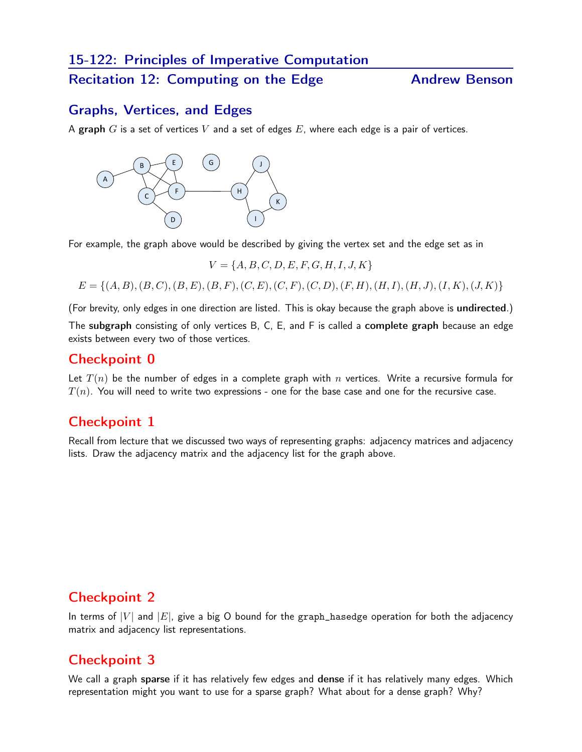## 15-122: Principles of Imperative Computation

#### Recitation 12: Computing on the Edge **Andrew Benson**

#### Graphs, Vertices, and Edges

A graph  $G$  is a set of vertices  $V$  and a set of edges  $E$ , where each edge is a pair of vertices.



For example, the graph above would be described by giving the vertex set and the edge set as in

$$
V = \{A, B, C, D, E, F, G, H, I, J, K\}
$$

 $E = \{(A, B), (B, C), (B, E), (B, F), (C, E), (C, F), (C, D), (F, H), (H, I), (H, J), (I, K), (J, K)\}\$ 

(For brevity, only edges in one direction are listed. This is okay because the graph above is undirected.) The subgraph consisting of only vertices B, C, E, and F is called a complete graph because an edge exists between every two of those vertices.

#### Checkpoint 0

Let  $T(n)$  be the number of edges in a complete graph with n vertices. Write a recursive formula for  $T(n)$ . You will need to write two expressions - one for the base case and one for the recursive case.

### Checkpoint 1

Recall from lecture that we discussed two ways of representing graphs: adjacency matrices and adjacency lists. Draw the adjacency matrix and the adjacency list for the graph above.

## Checkpoint 2

In terms of  $|V|$  and  $|E|$ , give a big O bound for the graph\_hasedge operation for both the adjacency matrix and adjacency list representations.

## Checkpoint 3

We call a graph sparse if it has relatively few edges and dense if it has relatively many edges. Which representation might you want to use for a sparse graph? What about for a dense graph? Why?